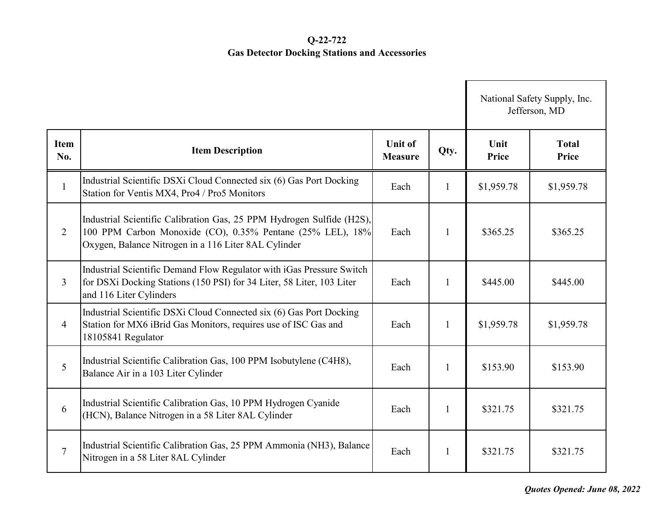## **Q-22-722 Gas Detector Docking Stations and Accessories**

|                    |                                                                                                                                                                                             |                                  |              |                      | National Safety Supply, Inc.<br>Jefferson, MD |  |
|--------------------|---------------------------------------------------------------------------------------------------------------------------------------------------------------------------------------------|----------------------------------|--------------|----------------------|-----------------------------------------------|--|
| <b>Item</b><br>No. | <b>Item Description</b>                                                                                                                                                                     | <b>Unit of</b><br><b>Measure</b> | Qty.         | Unit<br><b>Price</b> | <b>Total</b><br>Price                         |  |
| $\mathbf{1}$       | Industrial Scientific DSXi Cloud Connected six (6) Gas Port Docking<br>Station for Ventis MX4, Pro4 / Pro5 Monitors                                                                         | Each                             | $\mathbf{1}$ | \$1,959.78           | \$1,959.78                                    |  |
| $\overline{2}$     | Industrial Scientific Calibration Gas, 25 PPM Hydrogen Sulfide (H2S),<br>100 PPM Carbon Monoxide (CO), 0.35% Pentane (25% LEL), 18%<br>Oxygen, Balance Nitrogen in a 116 Liter 8AL Cylinder | Each                             | 1            | \$365.25             | \$365.25                                      |  |
| $\mathfrak{Z}$     | Industrial Scientific Demand Flow Regulator with iGas Pressure Switch<br>for DSXi Docking Stations (150 PSI) for 34 Liter, 58 Liter, 103 Liter<br>and 116 Liter Cylinders                   | Each                             | 1            | \$445.00             | \$445.00                                      |  |
| $\overline{4}$     | Industrial Scientific DSXi Cloud Connected six (6) Gas Port Docking<br>Station for MX6 iBrid Gas Monitors, requires use of ISC Gas and<br>18105841 Regulator                                | Each                             | $\mathbf{1}$ | \$1,959.78           | \$1,959.78                                    |  |
| 5                  | Industrial Scientific Calibration Gas, 100 PPM Isobutylene (C4H8),<br>Balance Air in a 103 Liter Cylinder                                                                                   | Each                             | $\mathbf{1}$ | \$153.90             | \$153.90                                      |  |
| 6                  | Industrial Scientific Calibration Gas, 10 PPM Hydrogen Cyanide<br>(HCN), Balance Nitrogen in a 58 Liter 8AL Cylinder                                                                        | Each                             | $\mathbf{1}$ | \$321.75             | \$321.75                                      |  |
| $\overline{7}$     | Industrial Scientific Calibration Gas, 25 PPM Ammonia (NH3), Balance<br>Nitrogen in a 58 Liter 8AL Cylinder                                                                                 | Each                             | $\mathbf{1}$ | \$321.75             | \$321.75                                      |  |